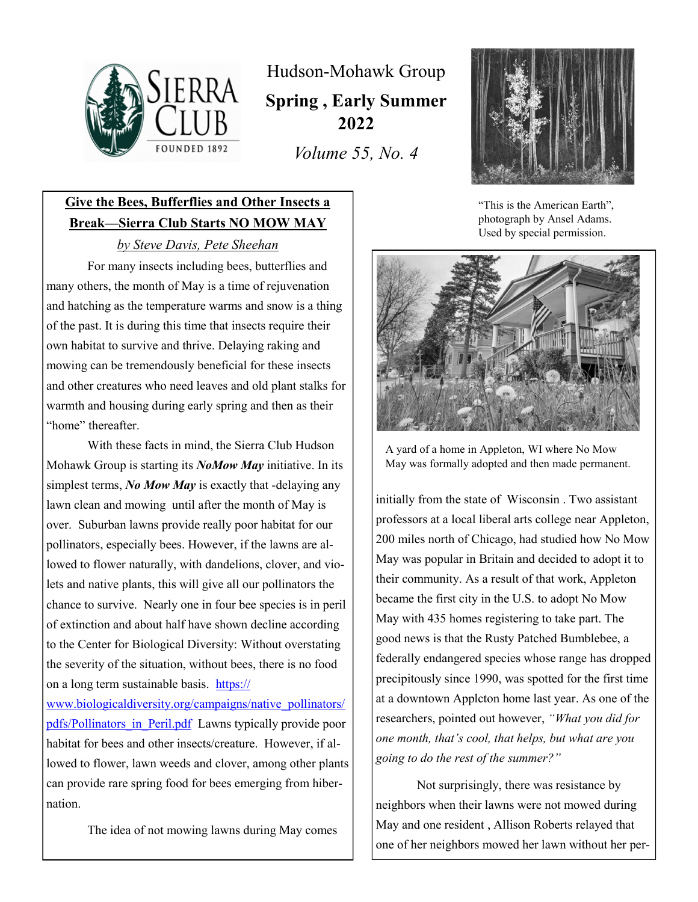

Hudson-Mohawk Group **Spring , Early Summer 2022**

*Volume 55, No. 4*



"This is the American Earth", photograph by Ansel Adams. Used by special permission.



A yard of a home in Appleton, WI where No Mow May was formally adopted and then made permanent.

initially from the state of Wisconsin . Two assistant professors at a local liberal arts college near Appleton, 200 miles north of Chicago, had studied how No Mow May was popular in Britain and decided to adopt it to their community. As a result of that work, Appleton became the first city in the U.S. to adopt No Mow May with 435 homes registering to take part. The good news is that the Rusty Patched Bumblebee, a federally endangered species whose range has dropped precipitously since 1990, was spotted for the first time at a downtown Applcton home last year. As one of the researchers, pointed out however, *"What you did for one month, that's cool, that helps, but what are you going to do the rest of the summer?"* 

Not surprisingly, there was resistance by neighbors when their lawns were not mowed during May and one resident , Allison Roberts relayed that one of her neighbors mowed her lawn without her per-

## **Give the Bees, Bufferflies and Other Insects a Break—Sierra Club Starts NO MOW MAY**

*by Steve Davis, Pete Sheehan*

For many insects including bees, butterflies and many others, the month of May is a time of rejuvenation and hatching as the temperature warms and snow is a thing of the past. It is during this time that insects require their own habitat to survive and thrive. Delaying raking and mowing can be tremendously beneficial for these insects and other creatures who need leaves and old plant stalks for warmth and housing during early spring and then as their "home" thereafter.

With these facts in mind, the Sierra Club Hudson Mohawk Group is starting its *NoMow May* initiative. In its simplest terms, *No Mow May* is exactly that -delaying any lawn clean and mowing until after the month of May is over. Suburban lawns provide really poor habitat for our pollinators, especially bees. However, if the lawns are allowed to flower naturally, with dandelions, clover, and violets and native plants, this will give all our pollinators the chance to survive. Nearly one in four bee species is in peril of extinction and about half have shown decline according to the Center for Biological Diversity: Without overstating the severity of the situation, without bees, there is no food on a long term sustainable basis. https://

www.biologicaldiversity.org/campaigns/native\_pollinators/ pdfs/Pollinators in Peril.pdf Lawns typically provide poor habitat for bees and other insects/creature. However, if allowed to flower, lawn weeds and clover, among other plants can provide rare spring food for bees emerging from hibernation.

The idea of not mowing lawns during May comes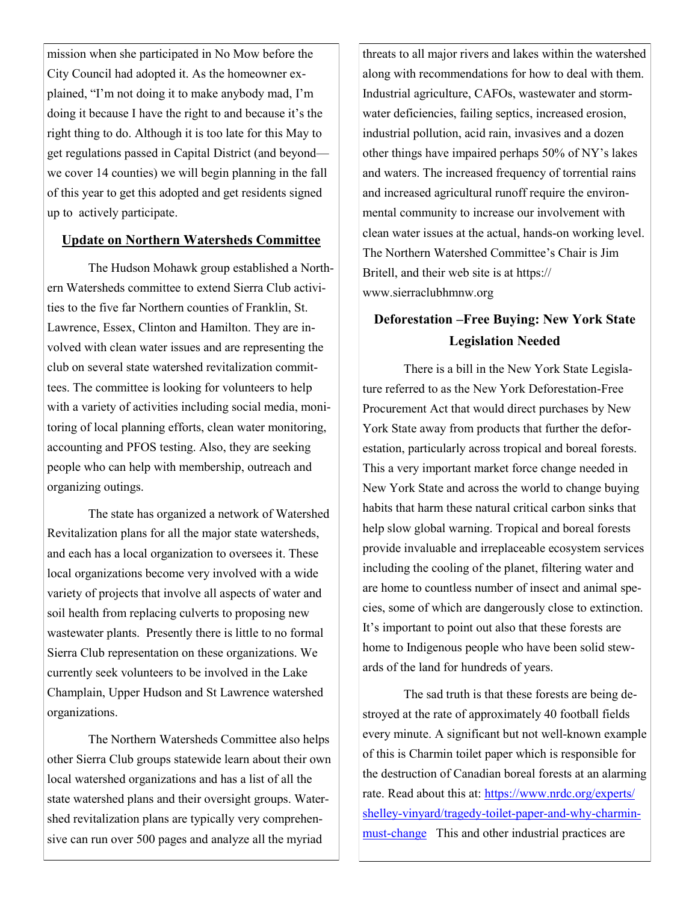mission when she participated in No Mow before the City Council had adopted it. As the homeowner explained, "I'm not doing it to make anybody mad, I'm doing it because I have the right to and because it's the right thing to do. Although it is too late for this May to get regulations passed in Capital District (and beyond we cover 14 counties) we will begin planning in the fall of this year to get this adopted and get residents signed up to actively participate.

## **Update on Northern Watersheds Committee**

The Hudson Mohawk group established a Northern Watersheds committee to extend Sierra Club activities to the five far Northern counties of Franklin, St. Lawrence, Essex, Clinton and Hamilton. They are involved with clean water issues and are representing the club on several state watershed revitalization committees. The committee is looking for volunteers to help with a variety of activities including social media, monitoring of local planning efforts, clean water monitoring, accounting and PFOS testing. Also, they are seeking people who can help with membership, outreach and organizing outings.

The state has organized a network of Watershed Revitalization plans for all the major state watersheds, and each has a local organization to oversees it. These local organizations become very involved with a wide variety of projects that involve all aspects of water and soil health from replacing culverts to proposing new wastewater plants. Presently there is little to no formal Sierra Club representation on these organizations. We currently seek volunteers to be involved in the Lake Champlain, Upper Hudson and St Lawrence watershed organizations.

The Northern Watersheds Committee also helps other Sierra Club groups statewide learn about their own local watershed organizations and has a list of all the state watershed plans and their oversight groups. Watershed revitalization plans are typically very comprehensive can run over 500 pages and analyze all the myriad

threats to all major rivers and lakes within the watershed along with recommendations for how to deal with them. Industrial agriculture, CAFOs, wastewater and stormwater deficiencies, failing septics, increased erosion, industrial pollution, acid rain, invasives and a dozen other things have impaired perhaps 50% of NY's lakes and waters. The increased frequency of torrential rains and increased agricultural runoff require the environmental community to increase our involvement with clean water issues at the actual, hands-on working level. The Northern Watershed Committee's Chair is Jim Britell, and their web site is at https:// www.sierraclubhmnw.org

## **Deforestation –Free Buying: New York State Legislation Needed**

There is a bill in the New York State Legislature referred to as the New York Deforestation-Free Procurement Act that would direct purchases by New York State away from products that further the deforestation, particularly across tropical and boreal forests. This a very important market force change needed in New York State and across the world to change buying habits that harm these natural critical carbon sinks that help slow global warning. Tropical and boreal forests provide invaluable and irreplaceable ecosystem services including the cooling of the planet, filtering water and are home to countless number of insect and animal species, some of which are dangerously close to extinction. It's important to point out also that these forests are home to Indigenous people who have been solid stewards of the land for hundreds of years.

The sad truth is that these forests are being destroyed at the rate of approximately 40 football fields every minute. A significant but not well-known example of this is Charmin toilet paper which is responsible for the destruction of Canadian boreal forests at an alarming rate. Read about this at: https://www.nrdc.org/experts/ shelley-vinyard/tragedy-toilet-paper-and-why-charminmust-change This and other industrial practices are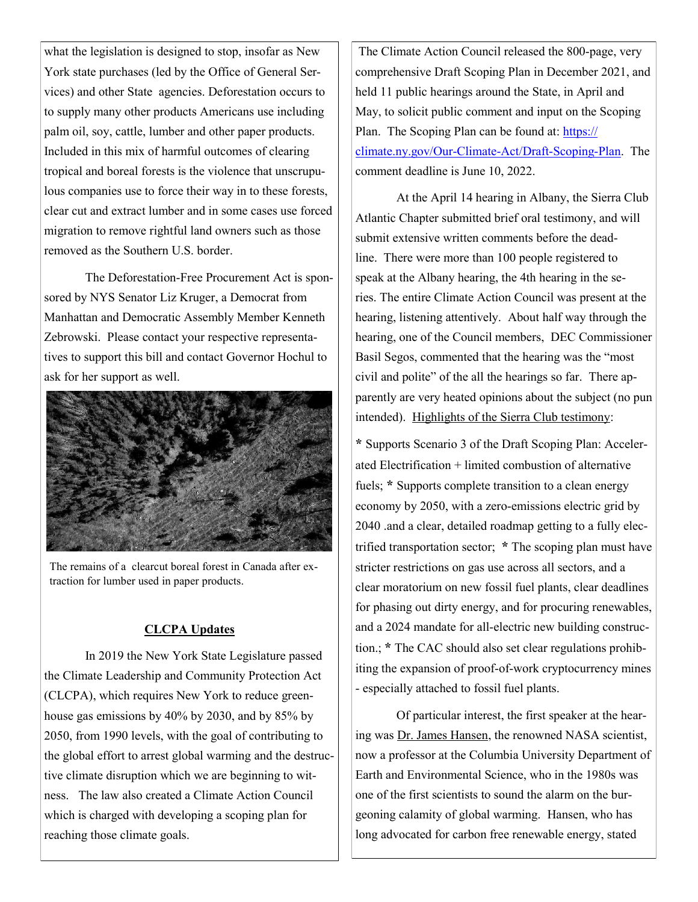what the legislation is designed to stop, insofar as New York state purchases (led by the Office of General Services) and other State agencies. Deforestation occurs to to supply many other products Americans use including palm oil, soy, cattle, lumber and other paper products. Included in this mix of harmful outcomes of clearing tropical and boreal forests is the violence that unscrupulous companies use to force their way in to these forests, clear cut and extract lumber and in some cases use forced migration to remove rightful land owners such as those removed as the Southern U.S. border.

The Deforestation-Free Procurement Act is sponsored by NYS Senator Liz Kruger, a Democrat from Manhattan and Democratic Assembly Member Kenneth Zebrowski. Please contact your respective representatives to support this bill and contact Governor Hochul to ask for her support as well.



The remains of a clearcut boreal forest in Canada after extraction for lumber used in paper products.

## **CLCPA Updates**

In 2019 the New York State Legislature passed the Climate Leadership and Community Protection Act (CLCPA), which requires New York to reduce greenhouse gas emissions by 40% by 2030, and by 85% by 2050, from 1990 levels, with the goal of contributing to the global effort to arrest global warming and the destructive climate disruption which we are beginning to witness. The law also created a Climate Action Council which is charged with developing a scoping plan for reaching those climate goals.

The Climate Action Council released the 800-page, very comprehensive Draft Scoping Plan in December 2021, and held 11 public hearings around the State, in April and May, to solicit public comment and input on the Scoping Plan. The Scoping Plan can be found at: https:// climate.ny.gov/Our-Climate-Act/Draft-Scoping-Plan. The comment deadline is June 10, 2022.

At the April 14 hearing in Albany, the Sierra Club Atlantic Chapter submitted brief oral testimony, and will submit extensive written comments before the deadline. There were more than 100 people registered to speak at the Albany hearing, the 4th hearing in the series. The entire Climate Action Council was present at the hearing, listening attentively. About half way through the hearing, one of the Council members, DEC Commissioner Basil Segos, commented that the hearing was the "most civil and polite" of the all the hearings so far. There apparently are very heated opinions about the subject (no pun intended). Highlights of the Sierra Club testimony:

**\*** Supports Scenario 3 of the Draft Scoping Plan: Accelerated Electrification + limited combustion of alternative fuels; **\*** Supports complete transition to a clean energy economy by 2050, with a zero-emissions electric grid by 2040 .and a clear, detailed roadmap getting to a fully electrified transportation sector; **\*** The scoping plan must have stricter restrictions on gas use across all sectors, and a clear moratorium on new fossil fuel plants, clear deadlines for phasing out dirty energy, and for procuring renewables, and a 2024 mandate for all-electric new building construction.; **\*** The CAC should also set clear regulations prohibiting the expansion of proof-of-work cryptocurrency mines - especially attached to fossil fuel plants.

Of particular interest, the first speaker at the hearing was Dr. James Hansen, the renowned NASA scientist, now a professor at the Columbia University Department of Earth and Environmental Science, who in the 1980s was one of the first scientists to sound the alarm on the burgeoning calamity of global warming. Hansen, who has long advocated for carbon free renewable energy, stated